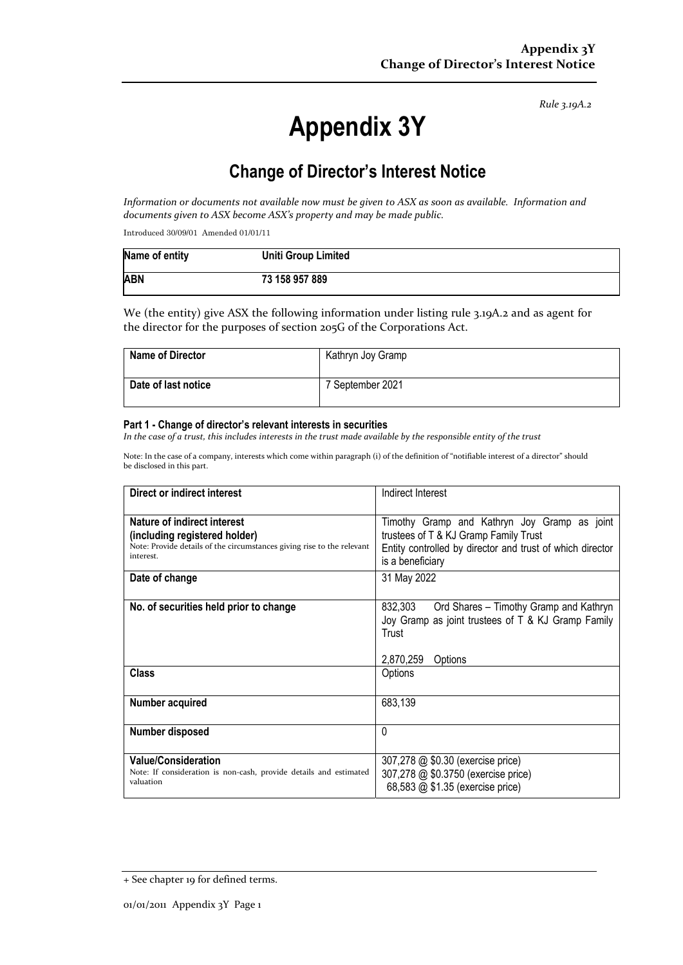*Rule 3.19A.2*

# **Appendix 3Y**

## **Change of Director's Interest Notice**

Information or documents not available now must be given to ASX as soon as available. Information and *documents given to ASX become ASX's property and may be made public.*

Introduced 30/09/01 Amended 01/01/11

| Name of entity | <b>Uniti Group Limited</b> |
|----------------|----------------------------|
| <b>ABN</b>     | 73 158 957 889             |

We (the entity) give ASX the following information under listing rule 3.19A.2 and as agent for the director for the purposes of section 205G of the Corporations Act.

| <b>Name of Director</b> | Kathryn Joy Gramp |
|-------------------------|-------------------|
| Date of last notice     | 7 September 2021  |

#### **Part 1 - Change of director's relevant interests in securities**

In the case of a trust, this includes interests in the trust made available by the responsible entity of the trust

Note: In the case of a company, interests which come within paragraph (i) of the definition of "notifiable interest of a director" should be disclosed in this part.

| Direct or indirect interest                                                                                                                         | Indirect Interest                                                                                                                                                      |  |
|-----------------------------------------------------------------------------------------------------------------------------------------------------|------------------------------------------------------------------------------------------------------------------------------------------------------------------------|--|
| Nature of indirect interest<br>(including registered holder)<br>Note: Provide details of the circumstances giving rise to the relevant<br>interest. | Timothy Gramp and Kathryn Joy Gramp as joint<br>trustees of T & KJ Gramp Family Trust<br>Entity controlled by director and trust of which director<br>is a beneficiary |  |
| Date of change                                                                                                                                      | 31 May 2022                                                                                                                                                            |  |
| No. of securities held prior to change                                                                                                              | 832,303<br>Ord Shares - Timothy Gramp and Kathryn<br>Joy Gramp as joint trustees of T & KJ Gramp Family<br>Trust<br>2,870,259<br>Options                               |  |
| <b>Class</b>                                                                                                                                        | Options                                                                                                                                                                |  |
| Number acquired                                                                                                                                     | 683,139                                                                                                                                                                |  |
| <b>Number disposed</b>                                                                                                                              | 0                                                                                                                                                                      |  |
| <b>Value/Consideration</b><br>Note: If consideration is non-cash, provide details and estimated<br>valuation                                        | 307,278 @ \$0.30 (exercise price)<br>307,278 @ \$0.3750 (exercise price)<br>68,583 @ \$1.35 (exercise price)                                                           |  |

<sup>+</sup> See chapter 19 for defined terms.